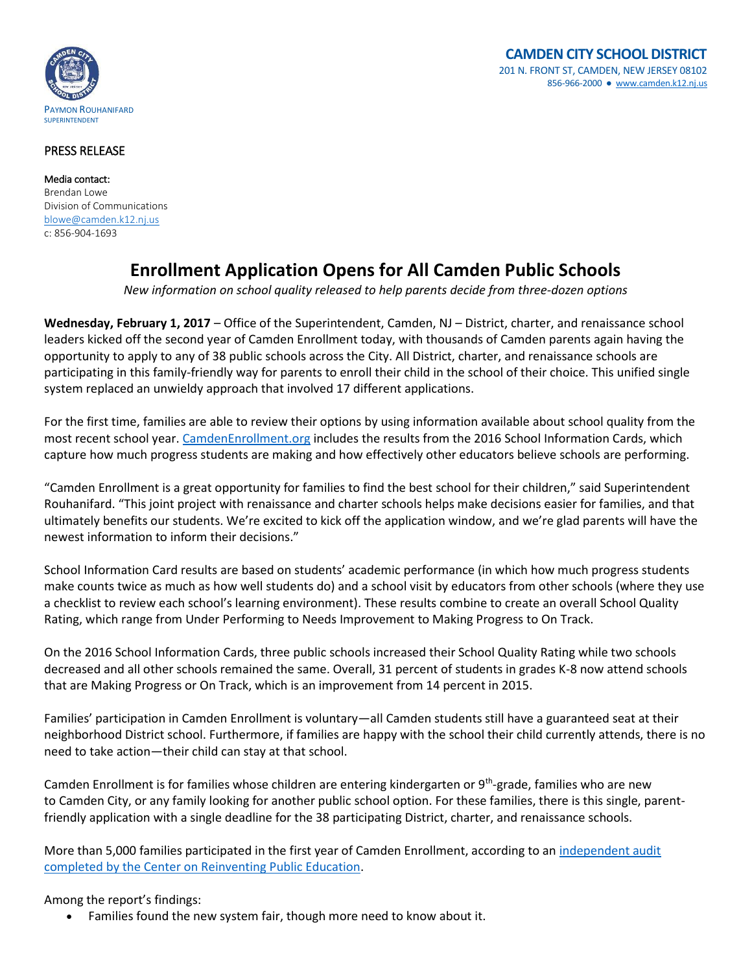

## PRESS RELEASE

Media contact: Brendan Lowe Division of Communications [blowe@camden.k12.nj.us](mailto:blowe@camden.k12.nj.us) c: 856-904-1693

## **Enrollment Application Opens for All Camden Public Schools**

*New information on school quality released to help parents decide from three-dozen options* 

**Wednesday, February 1, 2017** – Office of the Superintendent, Camden, NJ – District, charter, and renaissance school leaders kicked off the second year of Camden Enrollment today, with thousands of Camden parents again having the opportunity to apply to any of 38 public schools across the City. All District, charter, and renaissance schools are participating in this family-friendly way for parents to enroll their child in the school of their choice. This unified single system replaced an unwieldy approach that involved 17 different applications.

For the first time, families are able to review their options by using information available about school quality from the most recent school year[. CamdenEnrollment.org](http://www.camdenenrollment.org/) includes the results from the 2016 School Information Cards, which capture how much progress students are making and how effectively other educators believe schools are performing.

"Camden Enrollment is a great opportunity for families to find the best school for their children," said Superintendent Rouhanifard. "This joint project with renaissance and charter schools helps make decisions easier for families, and that ultimately benefits our students. We're excited to kick off the application window, and we're glad parents will have the newest information to inform their decisions."

School Information Card results are based on students' academic performance (in which how much progress students make counts twice as much as how well students do) and a school visit by educators from other schools (where they use a checklist to review each school's learning environment). These results combine to create an overall School Quality Rating, which range from Under Performing to Needs Improvement to Making Progress to On Track.

On the 2016 School Information Cards, three public schools increased their School Quality Rating while two schools decreased and all other schools remained the same. Overall, 31 percent of students in grades K-8 now attend schools that are Making Progress or On Track, which is an improvement from 14 percent in 2015.

Families' participation in Camden Enrollment is voluntary—all Camden students still have a guaranteed seat at their neighborhood District school. Furthermore, if families are happy with the school their child currently attends, there is no need to take action—their child can stay at that school.

Camden Enrollment is for families whose children are entering kindergarten or 9<sup>th</sup>-grade, families who are new to Camden City, or any family looking for another public school option. For these families, there is this single, parentfriendly application with a single deadline for the 38 participating District, charter, and renaissance schools.

More than 5,000 families participated in the first year of Camden Enrollment, according to an independent audit [completed by the Center on Reinventing Public Education.](http://www.crpe.org/sites/default/files/crpe-unifying-enrollment-in-camden.pdf)

Among the report's findings:

Families found the new system fair, though more need to know about it.